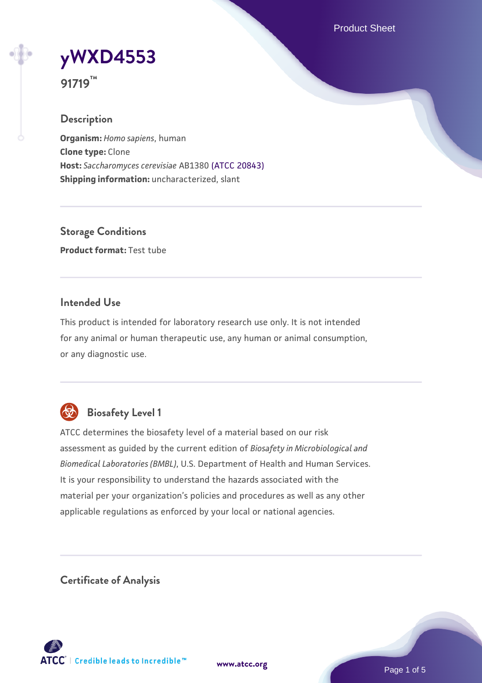Product Sheet



**91719™**

# **Description**

**Organism:** *Homo sapiens*, human **Clone type:** Clone **Host:** *Saccharomyces cerevisiae* AB1380 [\(ATCC 20843\)](https://www.atcc.org/products/20843) **Shipping information:** uncharacterized, slant

**Storage Conditions Product format:** Test tube

# **Intended Use**

This product is intended for laboratory research use only. It is not intended for any animal or human therapeutic use, any human or animal consumption, or any diagnostic use.



# **Biosafety Level 1**

ATCC determines the biosafety level of a material based on our risk assessment as guided by the current edition of *Biosafety in Microbiological and Biomedical Laboratories (BMBL)*, U.S. Department of Health and Human Services. It is your responsibility to understand the hazards associated with the material per your organization's policies and procedures as well as any other applicable regulations as enforced by your local or national agencies.

**Certificate of Analysis**

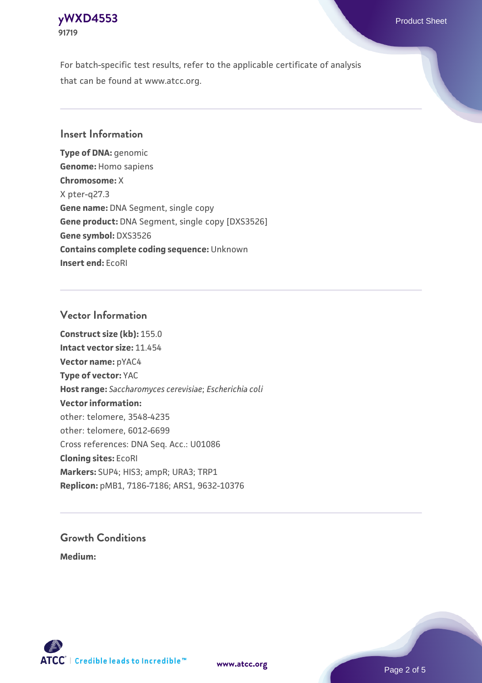# **[yWXD4553](https://www.atcc.org/products/91719)** Product Sheet **91719**

For batch-specific test results, refer to the applicable certificate of analysis that can be found at www.atcc.org.

# **Insert Information**

**Type of DNA:** genomic **Genome:** Homo sapiens **Chromosome:** X X pter-q27.3 **Gene name:** DNA Segment, single copy **Gene product:** DNA Segment, single copy [DXS3526] **Gene symbol:** DXS3526 **Contains complete coding sequence:** Unknown **Insert end:** EcoRI

# **Vector Information**

**Construct size (kb):** 155.0 **Intact vector size:** 11.454 **Vector name:** pYAC4 **Type of vector:** YAC **Host range:** *Saccharomyces cerevisiae*; *Escherichia coli* **Vector information:** other: telomere, 3548-4235 other: telomere, 6012-6699 Cross references: DNA Seq. Acc.: U01086 **Cloning sites:** EcoRI **Markers:** SUP4; HIS3; ampR; URA3; TRP1 **Replicon:** pMB1, 7186-7186; ARS1, 9632-10376

# **Growth Conditions**

**Medium:** 



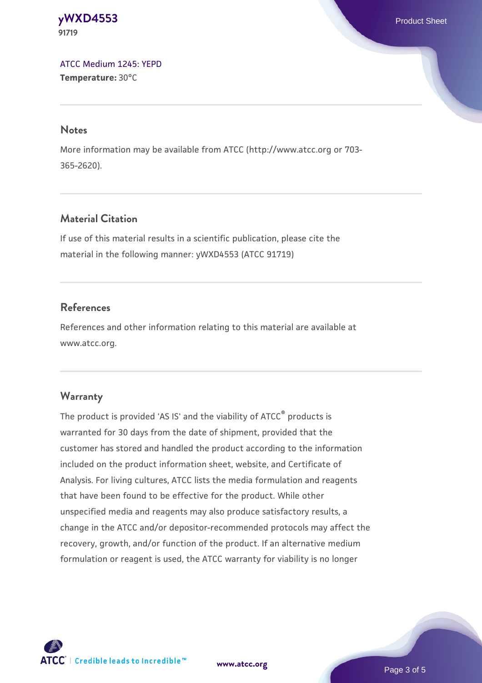#### **[yWXD4553](https://www.atcc.org/products/91719)** Product Sheet **91719**

[ATCC Medium 1245: YEPD](https://www.atcc.org/-/media/product-assets/documents/microbial-media-formulations/1/2/4/5/atcc-medium-1245.pdf?rev=705ca55d1b6f490a808a965d5c072196) **Temperature:** 30°C

#### **Notes**

More information may be available from ATCC (http://www.atcc.org or 703- 365-2620).

# **Material Citation**

If use of this material results in a scientific publication, please cite the material in the following manner: yWXD4553 (ATCC 91719)

# **References**

References and other information relating to this material are available at www.atcc.org.

# **Warranty**

The product is provided 'AS IS' and the viability of ATCC® products is warranted for 30 days from the date of shipment, provided that the customer has stored and handled the product according to the information included on the product information sheet, website, and Certificate of Analysis. For living cultures, ATCC lists the media formulation and reagents that have been found to be effective for the product. While other unspecified media and reagents may also produce satisfactory results, a change in the ATCC and/or depositor-recommended protocols may affect the recovery, growth, and/or function of the product. If an alternative medium formulation or reagent is used, the ATCC warranty for viability is no longer



**[www.atcc.org](http://www.atcc.org)**

Page 3 of 5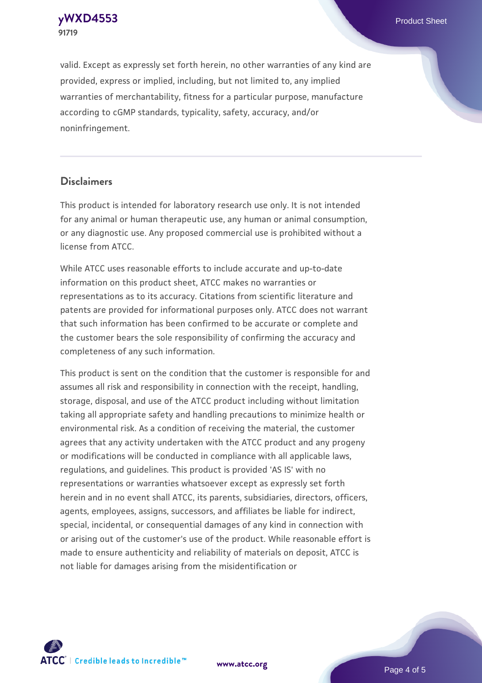**[yWXD4553](https://www.atcc.org/products/91719)** Product Sheet **91719**

valid. Except as expressly set forth herein, no other warranties of any kind are provided, express or implied, including, but not limited to, any implied warranties of merchantability, fitness for a particular purpose, manufacture according to cGMP standards, typicality, safety, accuracy, and/or noninfringement.

#### **Disclaimers**

This product is intended for laboratory research use only. It is not intended for any animal or human therapeutic use, any human or animal consumption, or any diagnostic use. Any proposed commercial use is prohibited without a license from ATCC.

While ATCC uses reasonable efforts to include accurate and up-to-date information on this product sheet, ATCC makes no warranties or representations as to its accuracy. Citations from scientific literature and patents are provided for informational purposes only. ATCC does not warrant that such information has been confirmed to be accurate or complete and the customer bears the sole responsibility of confirming the accuracy and completeness of any such information.

This product is sent on the condition that the customer is responsible for and assumes all risk and responsibility in connection with the receipt, handling, storage, disposal, and use of the ATCC product including without limitation taking all appropriate safety and handling precautions to minimize health or environmental risk. As a condition of receiving the material, the customer agrees that any activity undertaken with the ATCC product and any progeny or modifications will be conducted in compliance with all applicable laws, regulations, and guidelines. This product is provided 'AS IS' with no representations or warranties whatsoever except as expressly set forth herein and in no event shall ATCC, its parents, subsidiaries, directors, officers, agents, employees, assigns, successors, and affiliates be liable for indirect, special, incidental, or consequential damages of any kind in connection with or arising out of the customer's use of the product. While reasonable effort is made to ensure authenticity and reliability of materials on deposit, ATCC is not liable for damages arising from the misidentification or



**[www.atcc.org](http://www.atcc.org)**

Page 4 of 5